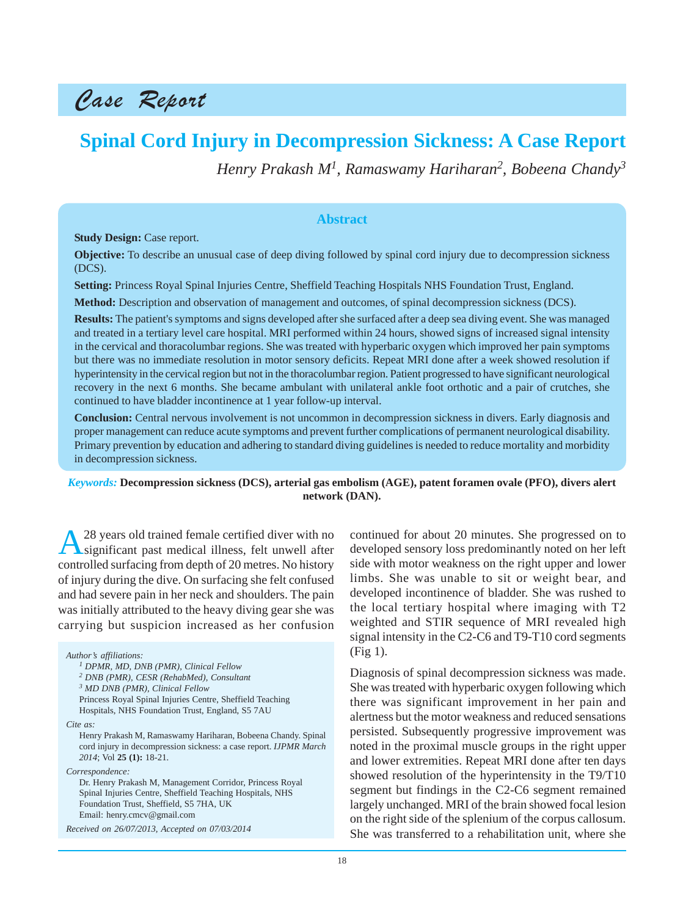## Case Report

# **Spinal Cord Injury in Decompression Sickness: A Case Report**

*Henry Prakash M1, Ramaswamy Hariharan2 , Bobeena Chandy<sup>3</sup>*

#### **Abstract**

**Study Design:** Case report.

**Objective:** To describe an unusual case of deep diving followed by spinal cord injury due to decompression sickness (DCS).

**Setting:** Princess Royal Spinal Injuries Centre, Sheffield Teaching Hospitals NHS Foundation Trust, England.

**Method:** Description and observation of management and outcomes, of spinal decompression sickness (DCS).

**Results:** The patient's symptoms and signs developed after she surfaced after a deep sea diving event. She was managed and treated in a tertiary level care hospital. MRI performed within 24 hours, showed signs of increased signal intensity in the cervical and thoracolumbar regions. She was treated with hyperbaric oxygen which improved her pain symptoms but there was no immediate resolution in motor sensory deficits. Repeat MRI done after a week showed resolution if hyperintensity in the cervical region but not in the thoracolumbar region. Patient progressed to have significant neurological recovery in the next 6 months. She became ambulant with unilateral ankle foot orthotic and a pair of crutches, she continued to have bladder incontinence at 1 year follow-up interval.

**Conclusion:** Central nervous involvement is not uncommon in decompression sickness in divers. Early diagnosis and proper management can reduce acute symptoms and prevent further complications of permanent neurological disability. Primary prevention by education and adhering to standard diving guidelines is needed to reduce mortality and morbidity in decompression sickness.

#### *Keywords:* **Decompression sickness (DCS), arterial gas embolism (AGE), patent foramen ovale (PFO), divers alert network (DAN).**

28 years old trained female certified diver with no significant past medical illness, felt unwell after controlled surfacing from depth of 20 metres. No history of injury during the dive. On surfacing she felt confused and had severe pain in her neck and shoulders. The pain was initially attributed to the heavy diving gear she was carrying but suspicion increased as her confusion

*Author's affiliations:*

*3 MD DNB (PMR), Clinical Fellow*

Princess Royal Spinal Injuries Centre, Sheffield Teaching Hospitals, NHS Foundation Trust, England, S5 7AU

*Cite as:*

Henry Prakash M, Ramaswamy Hariharan, Bobeena Chandy. Spinal cord injury in decompression sickness: a case report. *IJPMR March 2014*; Vol **25 (1):** 18-21.

*Correspondence:*

Dr. Henry Prakash M, Management Corridor, Princess Royal Spinal Injuries Centre, Sheffield Teaching Hospitals, NHS Foundation Trust, Sheffield, S5 7HA, UK Email: henry.cmcv@gmail.com

*Received on 26/07/2013, Accepted on 07/03/2014*

continued for about 20 minutes. She progressed on to developed sensory loss predominantly noted on her left side with motor weakness on the right upper and lower limbs. She was unable to sit or weight bear, and developed incontinence of bladder. She was rushed to the local tertiary hospital where imaging with T2 weighted and STIR sequence of MRI revealed high signal intensity in the C2-C6 and T9-T10 cord segments (Fig 1).

Diagnosis of spinal decompression sickness was made. She was treated with hyperbaric oxygen following which there was significant improvement in her pain and alertness but the motor weakness and reduced sensations persisted. Subsequently progressive improvement was noted in the proximal muscle groups in the right upper and lower extremities. Repeat MRI done after ten days showed resolution of the hyperintensity in the T9/T10 segment but findings in the C2-C6 segment remained largely unchanged. MRI of the brain showed focal lesion on the right side of the splenium of the corpus callosum. She was transferred to a rehabilitation unit, where she

*<sup>1</sup> DPMR, MD, DNB (PMR), Clinical Fellow*

*<sup>2</sup> DNB (PMR), CESR (RehabMed), Consultant*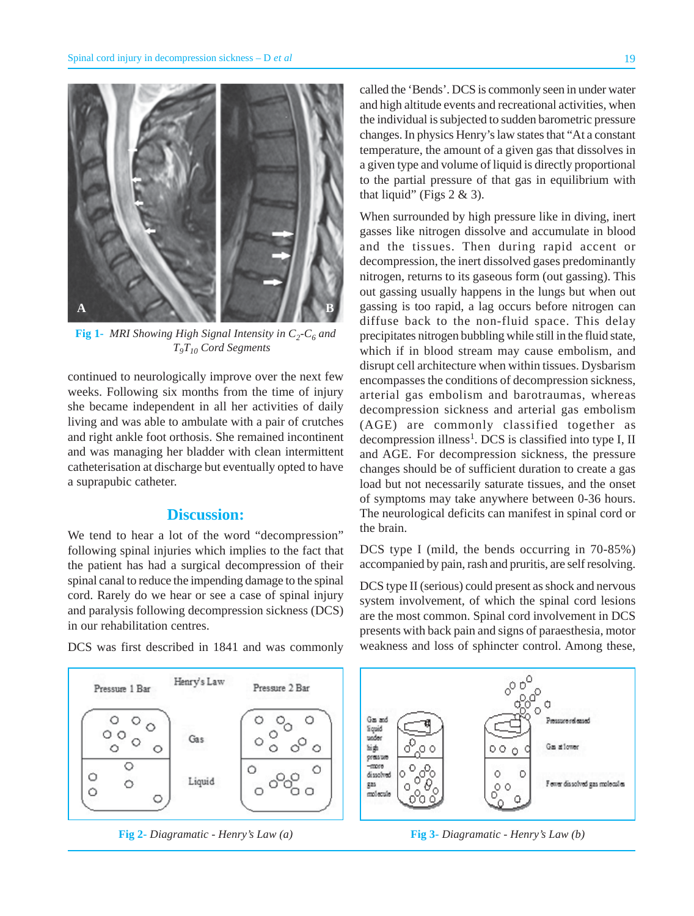

**Fig 1-** *MRI Showing High Signal Intensity in C<sub>2</sub>-C<sub>6</sub> and T9T10 Cord Segments*

continued to neurologically improve over the next few weeks. Following six months from the time of injury she became independent in all her activities of daily living and was able to ambulate with a pair of crutches and right ankle foot orthosis. She remained incontinent and was managing her bladder with clean intermittent catheterisation at discharge but eventually opted to have a suprapubic catheter.

### **Discussion:**

We tend to hear a lot of the word "decompression" following spinal injuries which implies to the fact that the patient has had a surgical decompression of their spinal canal to reduce the impending damage to the spinal cord. Rarely do we hear or see a case of spinal injury and paralysis following decompression sickness (DCS) in our rehabilitation centres.

DCS was first described in 1841 and was commonly



**Fig 2-** *Diagramatic - Henry's Law (a)* **Fig 3-** *Diagramatic - Henry's Law (b)*

called the 'Bends'. DCS is commonly seen in under water and high altitude events and recreational activities, when the individual is subjected to sudden barometric pressure changes. In physics Henry's law states that "At a constant temperature, the amount of a given gas that dissolves in a given type and volume of liquid is directly proportional to the partial pressure of that gas in equilibrium with that liquid" (Figs  $2 \& 3$ ).

When surrounded by high pressure like in diving, inert gasses like nitrogen dissolve and accumulate in blood and the tissues. Then during rapid accent or decompression, the inert dissolved gases predominantly nitrogen, returns to its gaseous form (out gassing). This out gassing usually happens in the lungs but when out gassing is too rapid, a lag occurs before nitrogen can diffuse back to the non-fluid space. This delay precipitates nitrogen bubbling while still in the fluid state, which if in blood stream may cause embolism, and disrupt cell architecture when within tissues. Dysbarism encompasses the conditions of decompression sickness, arterial gas embolism and barotraumas, whereas decompression sickness and arterial gas embolism (AGE) are commonly classified together as decompression illness<sup>1</sup>. DCS is classified into type I, II and AGE. For decompression sickness, the pressure changes should be of sufficient duration to create a gas load but not necessarily saturate tissues, and the onset of symptoms may take anywhere between 0-36 hours. The neurological deficits can manifest in spinal cord or the brain.

DCS type I (mild, the bends occurring in 70-85%) accompanied by pain, rash and pruritis, are self resolving.

DCS type II (serious) could present as shock and nervous system involvement, of which the spinal cord lesions are the most common. Spinal cord involvement in DCS presents with back pain and signs of paraesthesia, motor weakness and loss of sphincter control. Among these,

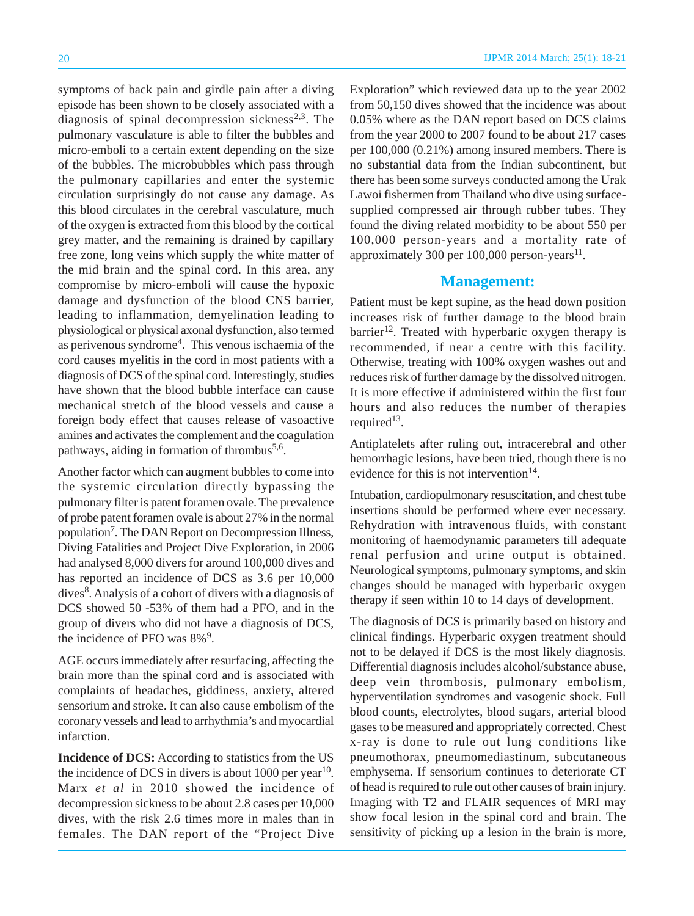symptoms of back pain and girdle pain after a diving episode has been shown to be closely associated with a diagnosis of spinal decompression sickness<sup>2,3</sup>. The pulmonary vasculature is able to filter the bubbles and micro-emboli to a certain extent depending on the size of the bubbles. The microbubbles which pass through the pulmonary capillaries and enter the systemic circulation surprisingly do not cause any damage. As this blood circulates in the cerebral vasculature, much of the oxygen is extracted from this blood by the cortical grey matter, and the remaining is drained by capillary free zone, long veins which supply the white matter of the mid brain and the spinal cord. In this area, any compromise by micro-emboli will cause the hypoxic damage and dysfunction of the blood CNS barrier, leading to inflammation, demyelination leading to physiological or physical axonal dysfunction, also termed as perivenous syndrome<sup>4</sup>. This venous ischaemia of the cord causes myelitis in the cord in most patients with a diagnosis of DCS of the spinal cord. Interestingly, studies have shown that the blood bubble interface can cause mechanical stretch of the blood vessels and cause a foreign body effect that causes release of vasoactive amines and activates the complement and the coagulation pathways, aiding in formation of thrombus<sup>5,6</sup>.

Another factor which can augment bubbles to come into the systemic circulation directly bypassing the pulmonary filter is patent foramen ovale. The prevalence of probe patent foramen ovale is about 27% in the normal population<sup>7</sup>. The DAN Report on Decompression Illness, Diving Fatalities and Project Dive Exploration, in 2006 had analysed 8,000 divers for around 100,000 dives and has reported an incidence of DCS as 3.6 per 10,000 dives<sup>8</sup>. Analysis of a cohort of divers with a diagnosis of DCS showed 50 -53% of them had a PFO, and in the group of divers who did not have a diagnosis of DCS, the incidence of PFO was  $8\%$ <sup>9</sup>.

AGE occurs immediately after resurfacing, affecting the brain more than the spinal cord and is associated with complaints of headaches, giddiness, anxiety, altered sensorium and stroke. It can also cause embolism of the coronary vessels and lead to arrhythmia's and myocardial infarction.

**Incidence of DCS:** According to statistics from the US the incidence of DCS in divers is about 1000 per year<sup>10</sup>. Marx *et al* in 2010 showed the incidence of decompression sickness to be about 2.8 cases per 10,000 dives, with the risk 2.6 times more in males than in females. The DAN report of the "Project Dive Exploration" which reviewed data up to the year 2002 from 50,150 dives showed that the incidence was about 0.05% where as the DAN report based on DCS claims from the year 2000 to 2007 found to be about 217 cases per 100,000 (0.21%) among insured members. There is no substantial data from the Indian subcontinent, but there has been some surveys conducted among the Urak Lawoi fishermen from Thailand who dive using surfacesupplied compressed air through rubber tubes. They found the diving related morbidity to be about 550 per 100,000 person-years and a mortality rate of approximately 300 per  $100,000$  person-years<sup>11</sup>.

#### **Management:**

Patient must be kept supine, as the head down position increases risk of further damage to the blood brain  $barrier<sup>12</sup>$ . Treated with hyperbaric oxygen therapy is recommended, if near a centre with this facility. Otherwise, treating with 100% oxygen washes out and reduces risk of further damage by the dissolved nitrogen. It is more effective if administered within the first four hours and also reduces the number of therapies required<sup>13</sup>.

Antiplatelets after ruling out, intracerebral and other hemorrhagic lesions, have been tried, though there is no evidence for this is not intervention<sup>14</sup>.

Intubation, cardiopulmonary resuscitation, and chest tube insertions should be performed where ever necessary. Rehydration with intravenous fluids, with constant monitoring of haemodynamic parameters till adequate renal perfusion and urine output is obtained. Neurological symptoms, pulmonary symptoms, and skin changes should be managed with hyperbaric oxygen therapy if seen within 10 to 14 days of development.

The diagnosis of DCS is primarily based on history and clinical findings. Hyperbaric oxygen treatment should not to be delayed if DCS is the most likely diagnosis. Differential diagnosis includes alcohol/substance abuse, deep vein thrombosis, pulmonary embolism, hyperventilation syndromes and vasogenic shock. Full blood counts, electrolytes, blood sugars, arterial blood gases to be measured and appropriately corrected. Chest x-ray is done to rule out lung conditions like pneumothorax, pneumomediastinum, subcutaneous emphysema. If sensorium continues to deteriorate CT of head is required to rule out other causes of brain injury. Imaging with T2 and FLAIR sequences of MRI may show focal lesion in the spinal cord and brain. The sensitivity of picking up a lesion in the brain is more,